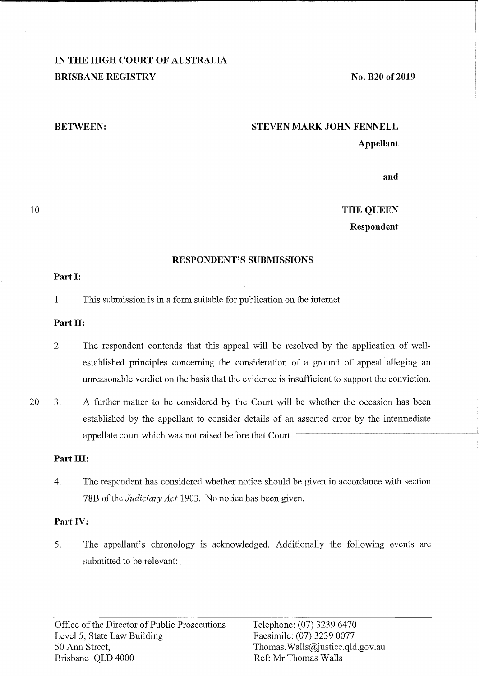# **IN THE HIGH COURT OF AUSTRALIA BRISBANE REGISTRY**

**No. B20 of 2019** 

#### **BETWEEN:**

# **STEVEN MARK JOHN FENNELL Appellant**

**and** 

# **THE QUEEN Respondent**

# **RESPONDENT'S SUBMISSIONS**

#### **Part I:**

1. This submission is in a form suitable for publication on the internet.

# **Part II:**

- 2. The respondent contends that this appeal will be resolved by the application of wellestablished principles concerning the consideration of a ground of appeal alleging an unreasonable verdict on the basis that the evidence is insufficient to support the conviction.
- 20 3. A further matter to be considered by the Court will be whether the occasion has been established by the appellant to consider details of an asserted error by the intermediate appellate court which was not raised before that Court.

# **Part III:**

4. The respondent has considered whether notice should be given in accordance with section 78B of the *Judiciary Act* 1903. No notice has been given.

# **Part IV:**

5. The appellant's chronology is acknowledged. Additionally the following events are submitted to be relevant: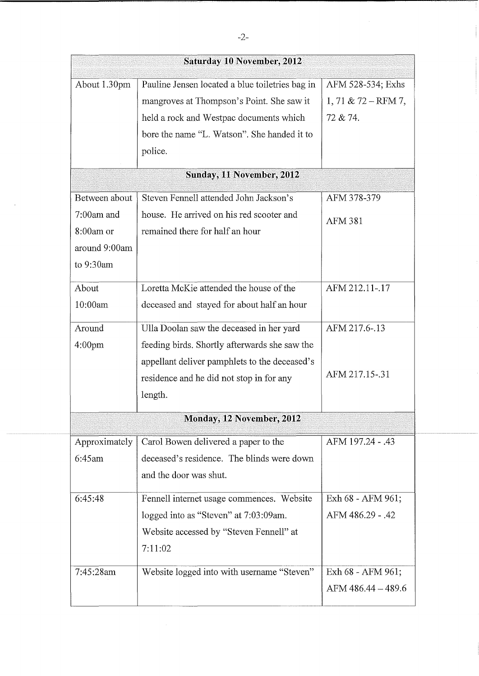|                    | <b>Saturday 10 November, 2012</b>               |                       |
|--------------------|-------------------------------------------------|-----------------------|
| About 1.30pm       | Pauline Jensen located a blue toiletries bag in | AFM 528-534; Exhs     |
|                    | mangroves at Thompson's Point. She saw it       | $1, 71 & 72 - RFM 7,$ |
|                    | held a rock and Westpac documents which         | 72 & 74.              |
|                    | bore the name "L. Watson". She handed it to     |                       |
|                    | police.                                         |                       |
|                    | Sunday, 11 November, 2012                       |                       |
| Between about      | Steven Fennell attended John Jackson's          | AFM 378-379           |
| $7:00$ am and      | house. He arrived on his red scooter and        | <b>AFM 381</b>        |
| $8:00$ am or       | remained there for half an hour                 |                       |
| around 9:00am      |                                                 |                       |
| to 9:30am          |                                                 |                       |
| About              | Loretta McKie attended the house of the         | AFM 212.11-.17        |
| 10:00am            | deceased and stayed for about half an hour      |                       |
| Around             | Ulla Doolan saw the deceased in her yard        | AFM 217.6-.13         |
| 4:00 <sub>pm</sub> | feeding birds. Shortly afterwards she saw the   |                       |
|                    | appellant deliver pamphlets to the deceased's   |                       |
|                    | residence and he did not stop in for any        | AFM 217.15-.31        |
|                    | length.                                         |                       |
|                    | Monday, 12 November, 2012                       |                       |
| Approximately      | Carol Bowen delivered a paper to the            | AFM 197.24 - .43      |
| 6:45am             | deceased's residence. The blinds were down      |                       |
|                    | and the door was shut.                          |                       |
| 6:45:48            | Fennell internet usage commences. Website       | Exh 68 - AFM 961;     |
|                    | logged into as "Steven" at 7:03:09am.           | AFM 486.29 - .42      |
|                    | Website accessed by "Steven Fennell" at         |                       |
|                    | 7:11:02                                         |                       |
| 7:45:28am          | Website logged into with username "Steven"      | Exh 68 - AFM 961;     |
|                    |                                                 | AFM 486.44 - 489.6    |
|                    |                                                 |                       |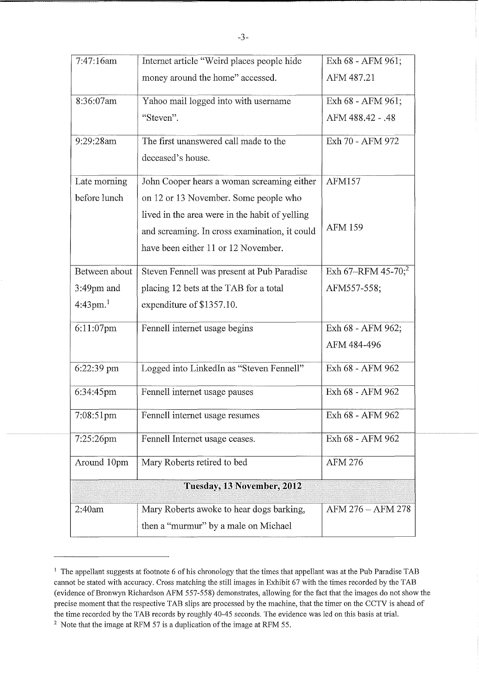| 7:47:16am          | Internet article "Weird places people hide     | Exh 68 - AFM 961;              |
|--------------------|------------------------------------------------|--------------------------------|
|                    | money around the home" accessed.               | AFM 487.21                     |
| 8:36:07am          | Yahoo mail logged into with username           | Exh 68 - AFM 961;              |
|                    | "Steven".                                      | AFM 488.42 - .48               |
| 9:29:28am          | The first unanswered call made to the          | Exh 70 - AFM 972               |
|                    | deceased's house.                              |                                |
| Late morning       | John Cooper hears a woman screaming either     | <b>AFM157</b>                  |
| before lunch       | on 12 or 13 November. Some people who          |                                |
|                    | lived in the area were in the habit of yelling |                                |
|                    | and screaming. In cross examination, it could  | <b>AFM 159</b>                 |
|                    | have been either 11 or 12 November.            |                                |
| Between about      | Steven Fennell was present at Pub Paradise     | Exh 67-RFM 45-70; <sup>2</sup> |
| $3:49$ pm and      | placing 12 bets at the TAB for a total         | AFM557-558;                    |
| $4:43 \text{pm}^1$ | expenditure of \$1357.10.                      |                                |
| 6:11:07pm          | Fennell internet usage begins                  | Exh 68 - AFM 962;              |
|                    |                                                | AFM 484-496                    |
| 6:22:39 pm         | Logged into LinkedIn as "Steven Fennell"       | Exh 68 - AFM 962               |
| 6:34:45pm          | Fennell internet usage pauses                  | Exh 68 - AFM 962               |
| 7:08:51pm          | Fennell internet usage resumes                 | Exh 68 - AFM 962               |
| 7:25:26pm          | Fennell Internet usage ceases.                 | Exh 68 - AFM 962               |
| Around 10pm        | Mary Roberts retired to bed                    | AFM 276                        |
|                    | Tuesday, 13 November, 2012                     |                                |
| 2:40am             | Mary Roberts awoke to hear dogs barking,       | AFM 276 - AFM 278              |
|                    | then a "murmur" by a male on Michael           |                                |

<sup>&</sup>lt;sup>1</sup> The appellant suggests at footnote 6 of his chronology that the times that appellant was at the Pub Paradise TAB cannot be stated with accuracy. Cross matching the still images in Exhibit 67 with the times recorded by the TAB ( evidence of Bronwyn Richardson AFM 557-558) demonstrates, allowing for the fact that the images do not show the precise moment that the respective TAB slips are processed by the machine, that the timer on the CCTV is ahead of the time recorded by the TAB records by roughly 40-45 seconds. The evidence was led on this basis at trial.

<sup>&</sup>lt;sup>2</sup> Note that the image at RFM 57 is a duplication of the image at RFM 55.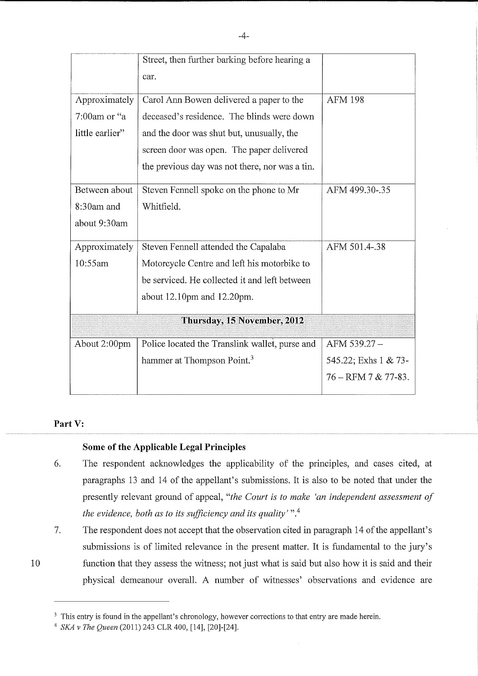|                             | Street, then further barking before hearing a  |                         |  |
|-----------------------------|------------------------------------------------|-------------------------|--|
|                             | car.                                           |                         |  |
| Approximately               | Carol Ann Bowen delivered a paper to the       | <b>AFM 198</b>          |  |
| 7:00am or "a                | deceased's residence. The blinds were down     |                         |  |
| little earlier"             | and the door was shut but, unusually, the      |                         |  |
|                             | screen door was open. The paper delivered      |                         |  |
|                             | the previous day was not there, nor was a tin. |                         |  |
| Between about               | Steven Fennell spoke on the phone to Mr        | AFM 499.30-.35          |  |
| 8:30am and                  | Whitfield.                                     |                         |  |
| about 9:30am                |                                                |                         |  |
| Approximately               | Steven Fennell attended the Capalaba           | AFM 501.4-.38           |  |
| 10:55am                     | Motorcycle Centre and left his motorbike to    |                         |  |
|                             | be serviced. He collected it and left between  |                         |  |
|                             | about 12.10pm and 12.20pm.                     |                         |  |
| Thursday, 15 November, 2012 |                                                |                         |  |
| About 2:00pm                | Police located the Translink wallet, purse and | AFM 539.27-             |  |
|                             | hammer at Thompson Point. <sup>3</sup>         | 545.22; Exhs 1 & 73-    |  |
|                             |                                                | $76 - RFM 7 & 77 - 83.$ |  |

# Part V:

10

# **Some of the Applicable Legal Principles**

- 6. The respondent acknowledges the applicability of the principles, and cases cited, at paragraphs 13 and 14 of the appellant's submissions. It is also to be noted that under the presently relevant ground of appeal, *"the Court is to make 'an independent assessment of the evidence, both as to its sufficiency and its quality'* ".<sup>4</sup>
- 7. The respondent does not accept that the observation cited in paragraph 14 of the appellant's submissions is of limited relevance in the present matter. It is fundamental to the jury's function that they assess the witness; not just what is said but also how it is said and their physical demeanour overall. A number of witnesses' observations and evidence are

<sup>3</sup> This entry is found in the appellant's chronology, however corrections to that entry are made herein.

<sup>4</sup>*SKA* v *The Queen* (2011) 243 CLR 400, [14], [20]-[24].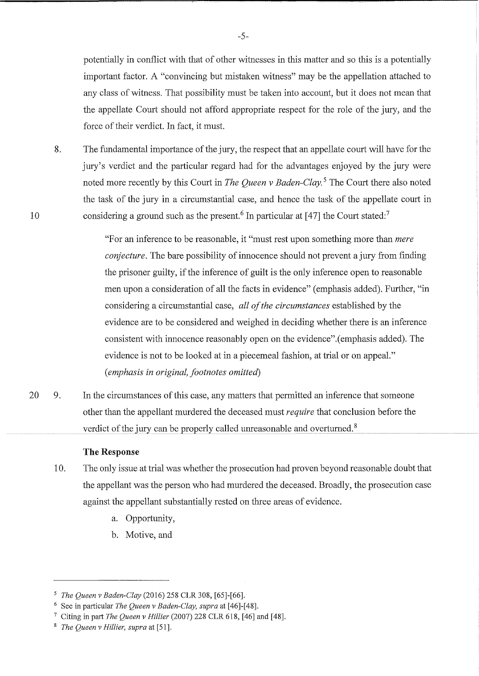potentially in conflict with that of other witnesses in this matter and so this is a potentially important factor. A "convincing but mistaken witness" may be the appellation attached to any class of witness. That possibility must be taken into account, but it does not mean that the appellate Court should not afford appropriate respect for the role of the jury, and the force of their verdict. In fact, it must.

8. The fundamental importance of the jury, the respect that an appellate court will have for the jury's verdict and the particular regard had for the advantages enjoyed by the jury were noted more recently by this Court in *The Queen v Baden-Clay.* 5 The Court there also noted the task of the jury in a circumstantial case, and hence the task of the appellate court in considering a ground such as the present.<sup>6</sup> In particular at [47] the Court stated:<sup>7</sup>

> "For an inference to be reasonable, it "must rest upon something more than *mere conjecture.* The bare possibility of innocence should not prevent a jury from finding the prisoner guilty, if the inference of guilt is the only inference open to reasonable men upon a consideration of all the facts in evidence" ( emphasis added). Further, "in considering a circumstantial case, *all of the circumstances* established by the evidence are to be considered and weighed in deciding whether there is an inference consistent with innocence reasonably open on the evidence".(emphasis added). The evidence is not to be looked at in a piecemeal fashion, at trial or on appeal." ( *emphasis in original, footnotes omitted)*

20 9. In the circumstances of this case, any matters that permitted an inference that someone other than the appellant murdered the deceased must *require* that conclusion before the verdict of the jury can be properly called umeasonable and overturned. 8

# **The Response**

- 10. The only issue at trial was whether the prosecution had proven beyond reasonable doubt that the appellant was the person who had murdered the deceased. Broadly, the prosecution case against the appellant substantially rested on three areas of evidence.
	- a. Opportunity,
	- b. Motive, and

<sup>5</sup>*The Queen v Baden-Clay* (2016) 258 CLR 308, [65]-[66].

<sup>6</sup>See in particular *The Queen v Baden-Clay, supra* at [46]-[48].

<sup>7</sup>Citing in part *The Queen v Hillier* (2007) 228 CLR 618, [46] and [48].

<sup>8</sup> *The Queen v Hillier, supra* at [51].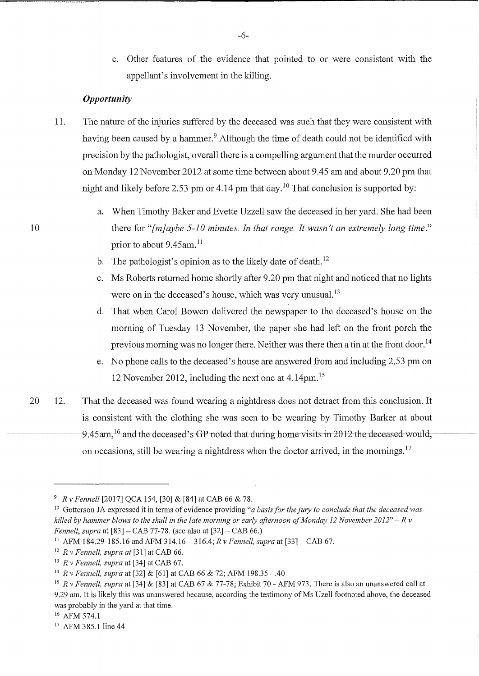c. Other features of the evidence that pointed to or were consistent with the appellant's involvement in the killing.

#### *Opportunity*

- 11. The nature of the injuries suffered by the deceased was such that they were consistent with having been caused by a hammer.<sup>9</sup> Although the time of death could not be identified with precision by the pathologist, overall there is a compelling argument that the murder occurred on Monday 12 November 2012 at some time between about 9.45 am and about 9.20 pm that night and likely before 2.53 pm or 4.14 pm that day.<sup>10</sup> That conclusion is supported by:
	- a. When Timothy Balcer and Evette Uzzell saw the deceased in her yard. She had been there for *"[m]aybe 5-10 minutes. In that range. It wasn't an extremely long time."*  prior to about 9.45am. <sup>11</sup>
	- b. The pathologist's opinion as to the likely date of death.<sup>12</sup>
	- c. Ms Roberts returned home shortly after 9.20 pm that night and noticed that no lights were on in the deceased's house, which was very unusual.<sup>13</sup>
	- d. That when Carol Bowen delivered the newspaper to the deceased's house on the morning of Tuesday 13 November, the paper she had left on the front porch the previous morning was no longer there. Neither was there then a tin at the front door.<sup>14</sup>
	- e. No phone calls to the deceased's house are answered from and including 2.53 pm on 12 November 2012, including the next one at 4.14pm. <sup>15</sup>
- 20 12. That the deceased was found wearing a nightdress does not detract from this conclusion. It is consistent with the clothing she was seen to be wearing by Timothy Barker at about 9.45am,  $^{16}$  and the deceased's GP noted that during home visits in 2012 the deceased would, on occasions, still be wearing a nightdress when the doctor arrived, in the mornings.<sup>17</sup>

<sup>9</sup>*R v Fennell* [2017] QCA 154, [30] & [84] at CAB 66 & 78.

<sup>&</sup>lt;sup>10</sup> Gotterson JA expressed it in terms of evidence providing "*a basis for the jury to conclude that the deceased was killed by hammer blows to the skull in the late morning or early afternoon of Monday 12 November 2012"*  $-Rv$ *Fennell, supra* at [83] – CAB 77-78. (see also at [32] – CAB 66.)

<sup>11</sup>AFM 184.29-185.16 and AFM 314.16 - 316.4; *R v Fennell, supra* at [33] - CAB 67.

<sup>12</sup>*R v Fennell, supra at* [31] at CAB 66.

<sup>13</sup>*R v Fennell, supra* at [34] at CAB 67.

<sup>&</sup>lt;sup>14</sup> R v Fennell, supra at [32] & [61] at CAB 66 & 72; AFM 198.35 - .40<br><sup>15</sup> R v Fennell, supra at [34] & [83] at CAB 67 & 77-78; Exhibit 70 - AFM 973. There is also an unanswered call at 9.29 am. It is likely this was unanswered because, according the testimony of Ms Uzell footnoted above, the deceased was probably in the yard at that time.

<sup>&</sup>lt;sup>16</sup> AFM 574.1<br><sup>17</sup> AFM 385.1 line 44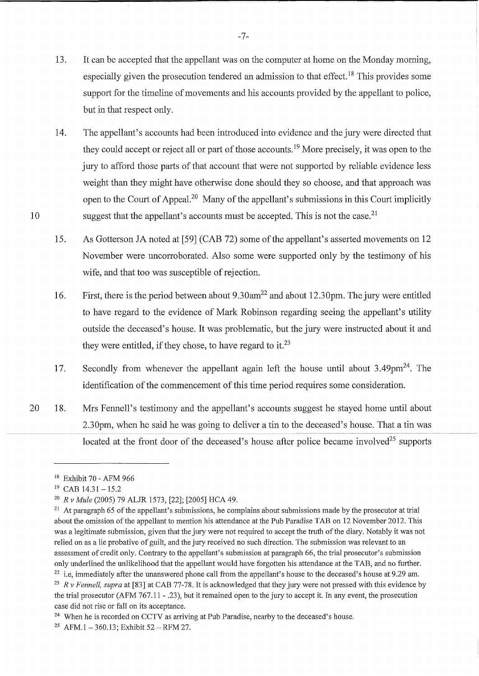- 13. It can be accepted that the appellant was on the computer at home on the Monday morning, especially given the prosecution tendered an admission to that effect.<sup>18</sup> This provides some support for the timeline of movements and his accounts provided by the appellant to police, but in that respect only.
- 14. The appellant's accounts had been introduced into evidence and the jury were directed that they could accept or reject all or part of those accounts. 19 More precisely, it was open to the jury to afford those parts of that account that were not supported by reliable evidence less weight than they might have otherwise done should they so choose, and that approach was open to the Court of Appeal.20 Many of the appellant's submissions in this Court implicitly suggest that the appellant's accounts must be accepted. This is not the case.<sup>21</sup>
- 15. As Gotterson JA noted at [59] (CAB 72) some of the appellant's asserted movements on 12 November were uncorroborated. Also some were supported only by the testimony of his wife, and that too was susceptible of rejection.
- 16. First, there is the period between about 9.30am<sup>22</sup> and about 12.30pm. The jury were entitled to have regard to the evidence of Mark Robinson regarding seeing the appellant's utility outside the deceased's house. It was problematic, but the jury were instructed about it and they were entitled, if they chose, to have regard to it.<sup>23</sup>
- 17. Secondly from whenever the appellant again left the house until about  $3.49 \text{pm}^{24}$ . The identification of the commencement of this time period requires some consideration.
- 20 18. Mrs Fennell's testimony and the appellant's accounts suggest he stayed home until about 2.30pm, when he said he was going to deliver a tin to the deceased's house. That a tin was located at the front door of the deceased's house after police became involved<sup>25</sup> supports

-7-

<sup>18</sup> Exhibit 70 - AFM 966

 $19$  CAB  $14.31 - 15.2$ 

<sup>20</sup>*R v Mule* (2005) 79 ALJR 1573, [22]; [2005] HCA 49.

<sup>&</sup>lt;sup>21</sup> At paragraph 65 of the appellant's submissions, he complains about submissions made by the prosecutor at trial about the omission of the appellant to mention his attendance at the Pub Paradise TAB on 12 November 2012. This was a legitimate submission, given that the jury were not required to accept the truth of the diary. Notably it was not relied on as a lie probative of guilt, and the jury received no such direction. The submission was relevant to an assessment of credit only. Contrary to the appellant's submission at paragraph 66, the trial prosecutor's submission only underlined the unlikelihood that the appellant would have forgotten his attendance at the TAB, and no further.  $22$  i.e, immediately after the unanswered phone call from the appellant's house to the deceased's house at 9.29 am. <sup>23</sup>R *v Fennell, supra* at [83] at CAB 77-78. It is acknowledged that they jury were not pressed with this evidence by the trial prosecutor (AFM 767.11 - .23), but it remained open to the jury to accept it. In any event, the prosecution

case did not rise or fall on its acceptance.

<sup>&</sup>lt;sup>24</sup> When he is recorded on CCTV as arriving at Pub Paradise, nearby to the deceased's house.

<sup>&</sup>lt;sup>25</sup> AFM.1 - 360.13; Exhibit  $52 - RFM 27$ .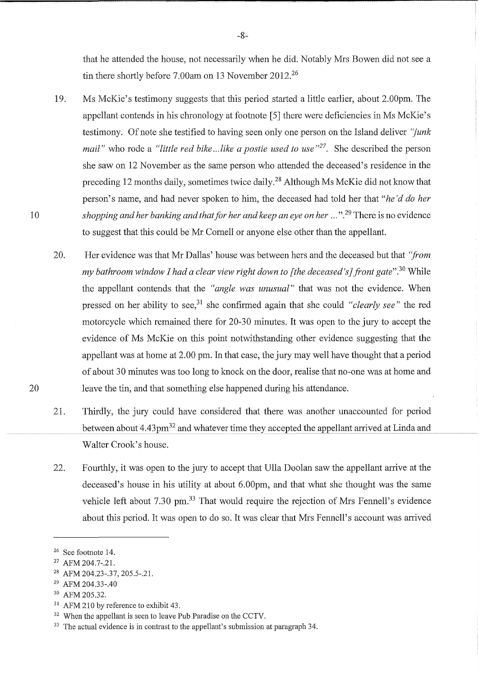that he attended the house, not necessarily when he did. Notably Mrs Bowen did not see a tin there shortly before 7.00am on 13 November 2012.<sup>26</sup>

- 19. Ms McKie's testimony suggests that this period started a little earlier, about 2.00pm. The appellant contends in his chronology at footnote [5] there were deficiencies in Ms McKie's testimony. Of note she testified to having seen only one person on the Island deliver *"junk mail"* who rode a *"little red bike ... like a postie used to use "*27. She described the person she saw on 12 November as the same person who attended the deceased's residence in the preceding 12 months daily, sometimes twice daily.<sup>28</sup> Although Ms McKie did not know that person's name, and had never spoken to him, the deceased had told her that *"he'd do her shopping and her banking and that for her and keep an eye on her* ... ".29 There is no evidence to suggest that this could be Mr Cornell or anyone else other than the appellant.
- 20. Her evidence was that Mr Dallas' house was between hers and the deceased but that *'from my bathroom window I had a clear view right down to [the deceased 's] front gate".* 30 While the appellant contends that the *"angle was unusual"* that was not the evidence. When pressed on her ability to see,31 she confirmed again that she could *"clearly see"* the red motorcycle which remained there for 20-30 minutes. It was open to the jury to accept the evidence of Ms McKie on this point notwithstanding other evidence suggesting that the appellant was at home at 2.00 pm. In that case, the jury may well have thought that a period of about 30 minutes was too long to knock on the door, realise that no-one was at home and leave the tin, and that something else happened during his attendance.
- 21. Thirdly, the jury could have considered that there was another unaccounted for period between about  $4.43 \text{pm}^{32}$  and whatever time they accepted the appellant arrived at Linda and Walter Crook's house.
- 22. Fourthly, it was open to the jury to accept that Ulla Doolan saw the appellant arrive at the deceased's house in his utility at about 6.00pm, and that what she thought was the same vehicle left about 7.30 pm.<sup>33</sup> That would require the rejection of Mrs Fennell's evidence about this period. It was open to do so. It was clear that Mrs Fennell's account was arrived

- 30 AFM 205.32.
- <sup>31</sup> AFM 210 by reference to exhibit 43.

20

<sup>26</sup> See footnote 14.

<sup>27</sup> AFM 204.7-.21.

<sup>28</sup> AFM 204.23-.37, 205.5-.21.

<sup>29</sup> AFM 204.33-.40

<sup>&</sup>lt;sup>32</sup> When the appellant is seen to leave Pub Paradise on the CCTV.

<sup>&</sup>lt;sup>33</sup> The actual evidence is in contrast to the appellant's submission at paragraph 34.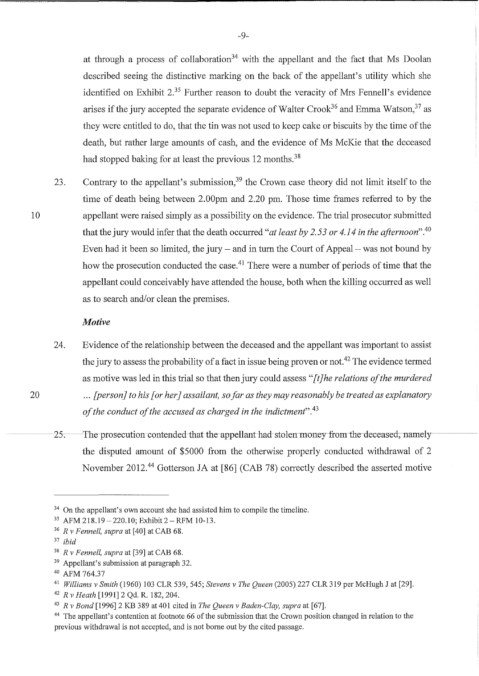at through a process of collaboration<sup>34</sup> with the appellant and the fact that Ms Doolan described seeing the distinctive marking on the back of the appellant's utility which she identified on Exhibit  $2^{35}$  Further reason to doubt the veracity of Mrs Fennell's evidence arises if the jury accepted the separate evidence of Walter Crook<sup>36</sup> and Emma Watson,<sup>37</sup> as they were entitled to do, that the tin was not used to keep cake or biscuits by the time of the death, but rather large amounts of cash, and the evidence of Ms McKie that the deceased had stopped baking for at least the previous 12 months.<sup>38</sup>

23. Contrary to the appellant's submission,<sup>39</sup> the Crown case theory did not limit itself to the time of death being between 2.00pm and 2.20 pm. Those time frames referred to by the appellant were raised simply as a possibility on the evidence. The trial prosecutor submitted that the jury would infer that the death occurred *"at least by 2. 53 or 4.14 in the afternoon".<sup>40</sup>* Even had it been so limited, the jury  $-$  and in turn the Court of Appeal  $-$  was not bound by how the prosecution conducted the case.<sup>41</sup> There were a number of periods of time that the appellant could conceivably have attended the house, both when the killing occurred as well as to search and/or clean the premises.

#### *Motive*

- 24. Evidence of the relationship between the deceased and the appellant was important to assist the jury to assess the probability of a fact in issue being proven or not.<sup>42</sup> The evidence termed as motive was led in this trial so that then jury could assess *"[t]he relations of the murdered*  ... *[person] to his [ or her* J *assailant, so far as they may reasonably be treated as explanatory of the conduct of the accused as charged in the indictment".* <sup>43</sup>
- 25. The prosecution contended that the appellant had stolen money from the deceased, namely the disputed amount of \$5000 from the otherwise properly conducted withdrawal of 2 November 2012.44 Gotterson JA at [86] (CAB 78) correctly described the asserted motive

20

<sup>&</sup>lt;sup>34</sup> On the appellant's own account she had assisted him to compile the timeline.

 $35$  AFM 218.19 - 220.10; Exhibit 2 - RFM 10-13.

<sup>36</sup>*R v Fennell, supra* at [40] at CAB 68.

<sup>37</sup>*ibid* 

<sup>38</sup>*R v Fennell, supra* at [39] at CAB 68.

<sup>39</sup> Appellant's submission at paragraph 32.

<sup>40</sup> AFM 764.37

<sup>41</sup>*Williams v Smith* (1960) 103 CLR 539, 545; *Stevens v The Queen* (2005) 227 CLR 319 per McHugh J at [29].

<sup>42</sup>*R v Heath* [1991] 2 Qd. R. 182,204.

<sup>43</sup>*R v Bond* [1996] 2 KB 389 at 401 cited in *The Queen v Baden-Clay, supra* at [67].

<sup>&</sup>lt;sup>44</sup> The appellant's contention at footnote 66 of the submission that the Crown position changed in relation to the previous withdrawal is not accepted, and is not borne out by the cited passage.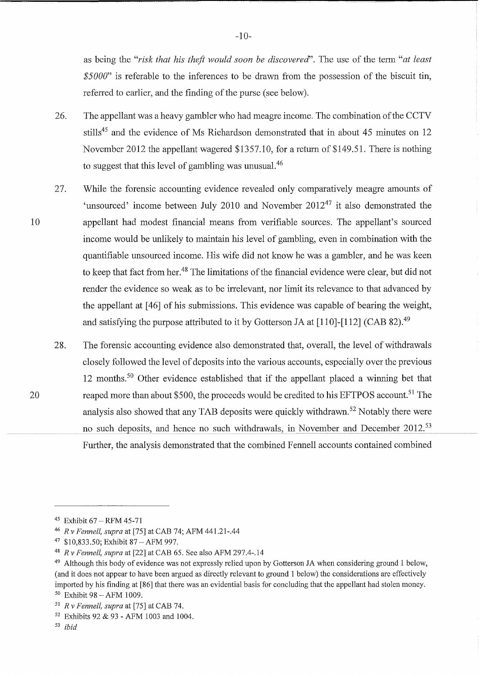as being the "risk that his theft would soon be discovered". The use of the term "at least *\$5 000"* is referable to the inferences to be drawn from the possession of the biscuit tin, referred to earlier, and the finding of the purse (see below).

- 26. The appellant was a heavy gambler who had meagre income. The combination of the CCTV stills<sup>45</sup> and the evidence of Ms Richardson demonstrated that in about 45 minutes on 12 November 2012 the appellant wagered \$1357.10, for a return of \$149.51. There is nothing to suggest that this level of gambling was unusual.46
- 27. While the forensic accounting evidence revealed only comparatively meagre amounts of 'unsourced' income between July 2010 and November  $2012^{47}$  it also demonstrated the appellant had modest financial means from verifiable sources. The appellant's sourced income would be unlikely to maintain his level of gambling, even in combination with the quantifiable unsourced income. His wife did not know he was a gambler, and he was keen to keep that fact from her.<sup>48</sup> The limitations of the financial evidence were clear, but did not render the evidence so weak as to be irrelevant, nor limit its relevance to that advanced by the appellant at [ 46] of his submissions. This evidence was capable of bearing the weight, and satisfying the purpose attributed to it by Gotterson JA at [110]-[112] (CAB 82).<sup>49</sup>
- 28. The forensic accounting evidence also demonstrated that, overall, the level of withdrawals closely followed the level of deposits into the various accounts, especially over the previous 12 months. 50 Other evidence established that if the appellant placed a winning bet that reaped more than about \$500, the proceeds would be credited to his EFTPOS account.<sup>51</sup> The analysis also showed that any TAB deposits were quickly withdrawn. 52 Notably there were no such deposits, and hence no such withdrawals, in November and December 2012.<sup>53</sup> Further, the analysis demonstrated that the combined Fennell accounts contained combined

10

 $45$  Exhibit 67 - RFM 45-71

<sup>46</sup>*R v Fennell, supra* at [75] at CAB 74; AFM 441.21-.44

<sup>47 \$10,833.50;</sup> Exhibit 87 -AFM 997.

<sup>48</sup>*R v Fennell, supra* at [22] at CAB 65. See also AFM 297.4-.14

<sup>49</sup> Although this body of evidence was not expressly relied upon by Gotterson JA when considering ground 1 below, (and it does not appear to have been argued as directly relevant to ground 1 below) the considerations are effectively imported by his finding at [86] that there was an evidential basis for concluding that the appellant had stolen money.  $50$  Exhibit 98 - AFM 1009.

<sup>51</sup>*R v Fennell, supra* at [75] at CAB 74.

<sup>52</sup> Exhibits 92 & 93 - AFM 1003 and 1004.

<sup>53</sup> *ibid*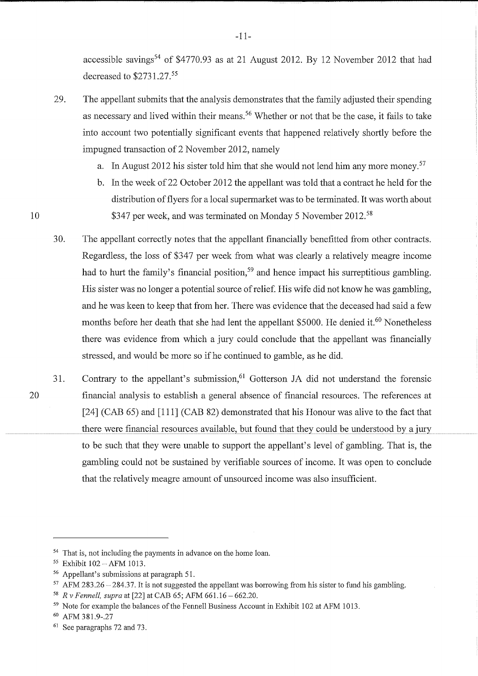accessible savings<sup>54</sup> of \$4770.93 as at 21 August 2012. By 12 November 2012 that had decreased to \$2731.27.<sup>55</sup>

- 29. The appellant submits that the analysis demonstrates that the family adjusted their spending as necessary and lived within their means. 56 Whether or not that be the case, it fails to take into account two potentially significant events that happened relatively shortly before the impugned transaction of 2 November 2012, namely
	- a. In August 2012 his sister told him that she would not lend him any more money.<sup>57</sup>
	- b. In the week of 22 October 2012 the appellant was told that a contract he held for the distribution of flyers for a local supermarket was to be terminated. It was worth about \$347 per week, and was terminated on Monday 5 November 2012.<sup>58</sup>
- 30. The appellant correctly notes that the appellant financially benefitted from other contracts. Regardless, the loss of \$347 per week from what was clearly a relatively meagre income had to hurt the family's financial position,<sup>59</sup> and hence impact his surreptitious gambling. His sister was no longer a potential source of relief. His wife did not know he was gambling, and he was keen to keep that from her. There was evidence that the deceased had said a few months before her death that she had lent the appellant \$5000. He denied it.<sup>60</sup> Nonetheless there was evidence from which a jury could conclude that the appellant was financially stressed, and would be more so if he continued to gamble, as he did.
- 20 31. Contrary to the appellant's submission,  $61$  Gotterson JA did not understand the forensic financial analysis to establish a general absence of financial resources. The references at [24] (CAB 65) and [111] (CAB 82) demonstrated that his Honour was alive to the fact that there were financial resources available, but found that they could be understood by a jury to be such that they were unable to support the appellant's level of gambling. That is, the gambling could not be sustained by verifiable sources of income. It was open to conclude that the relatively meagre amount of unsourced income was also insufficient.

10

-11-

<sup>&</sup>lt;sup>54</sup> That is, not including the payments in advance on the home loan.

<sup>55</sup> Exhibit 102-AFM 1013.

<sup>56</sup> Appellant's submissions at paragraph 51.

 $57$  AFM 283.26 -284.37. It is not suggested the appellant was borrowing from his sister to fund his gambling.

<sup>58</sup>*R* v *Fennell, supra* at [22] at CAB 65; AFM 661.16 - 662.20.

<sup>59</sup> Note for example the balances of the Fennell Business Account in Exhibit 102 at AFM 1013.

 $60$  AFM 381.9-.27<br> $61$  See paragraphs 72 and 73.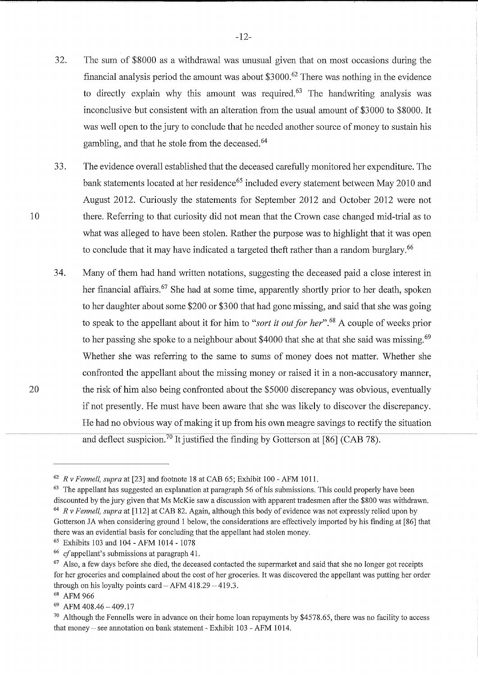- 32. The sum of \$8000 as a withdrawal was unusual given that on most occasions during the financial analysis period the amount was about \$3000.62 There was nothing in the evidence to directly explain why this amount was required. $63$  The handwriting analysis was inconclusive but consistent with an alteration from the usual amount of \$3000 to \$8000. It was well open to the jury to conclude that he needed another source of money to sustain his gambling, and that he stole from the deceased. 64
- 33. The evidence overall established that the deceased carefully monitored her expenditure. The bank statements located at her residence<sup>65</sup> included every statement between May 2010 and August 2012. Curiously the statements for September 2012 and October 2012 were not there. Referring to that curiosity did not mean that the Crown case changed mid-trial as to what was alleged to have been stolen. Rather the purpose was to highlight that it was open to conclude that it may have indicated a targeted theft rather than a random burglary.<sup>66</sup>
- 34. Many of them had hand written notations, suggesting the deceased paid a close interest in her financial affairs.<sup>67</sup> She had at some time, apparently shortly prior to her death, spoken to her daughter about some \$200 or \$300 that had gone missing, and said that she was going to speak to the appellant about it for him to *"sort it out for her".* 68 A couple of weeks prior to her passing she spoke to a neighbour about \$4000 that she at that she said was missing.<sup>69</sup> Whether she was referring to the same to sums of money does not matter. Whether she confronted the appellant about the missing money or raised it in a non-accusatory manner, the risk of him also being confronted about the \$5000 discrepancy was obvious, eventually if not presently. He must have been aware that she was likely to discover the discrepancy. He had no obvious way of making it up from his own meagre savings to rectify the situation and deflect suspicion.<sup>70</sup> It justified the finding by Gotterson at [86] (CAB 78).

<sup>62</sup>*R* v *Fennell, supra* at [23] and footnote 18 at CAB 65; Exhibit 100 -AFM 1011.

 $63$  The appellant has suggested an explanation at paragraph 56 of his submissions. This could properly have been discounted by the jury given that Ms McKie saw a discussion with apparent tradesmen after the \$800 was withdrawn. <sup>64</sup>*R v Fennell, supra* at [112] at CAB 82. Again, although this body of evidence was not expressly relied upon by Gotterson JA when considering ground 1 below, the considerations are effectively imported by his finding at [86] that there was an evidential basis for concluding that the appellant had stolen money.

<sup>65</sup> Exhibits 103 and 104 -AFM 1014 - 1078

<sup>66</sup>*cf* appellant's submissions at paragraph 41.

 $67$  Also, a few days before she died, the deceased contacted the supermarket and said that she no longer got receipts for her groceries and complained about the cost of her groceries. It was discovered the appellant was putting her order through on his loyalty points card  $-$  AFM 418.29  $-$  419.3.

<sup>68</sup> AFM 966

 $69$  AFM 408.46 - 409.17

<sup>&</sup>lt;sup>70</sup> Although the Fennells were in advance on their home loan repayments by \$4578.65, there was no facility to access that money - see annotation on bank statement - Exhibit 103 - AFM 1014.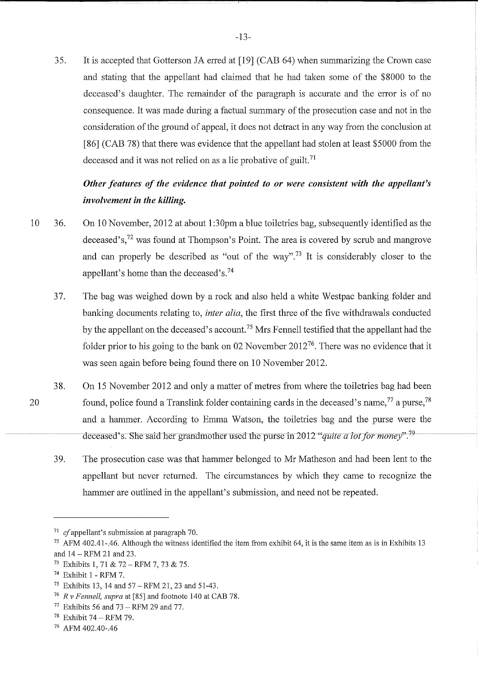35. It is accepted that Gotterson JA erred at [19] (CAB 64) when summarizing the Crown case and stating that the appellant had claimed that he had taken some of the \$8000 to the deceased's daughter. The remainder of the paragraph is accurate and the error is of no consequence. It was made during a factual summary of the prosecution case and not in the consideration of the ground of appeal, it does not detract in any way from the conclusion at [86] (CAB 78) that there was evidence that the appellant had stolen at least \$5000 from the deceased and it was not relied on as a lie probative of guilt.<sup>71</sup>

# *Other features of the evidence that pointed to or were consistent with the appellant's involvement in the killing.*

- 10 36. On 10 November, 2012 at about 1:30pm a blue toiletries bag, subsequently identified as the deceased's,72 was found at Thompson's Point. The area is covered by scrub and mangrove and can properly be described as "out of the way". 73 It is considerably closer to the appellant's home than the deceased's.<sup>74</sup>
	- 37. The bag was weighed down by a rock and also held a white Westpac banking folder and banking documents relating to, *inter alia,* the first three of the five withdrawals conducted by the appellant on the deceased's account. 75 Mrs Fennell testified that the appellant had the folder prior to his going to the bank on 02 November  $2012^{76}$ . There was no evidence that it was seen again before being found there on 10 November 2012.
	- 38. On 15 November 2012 and only a matter of metres from where the toiletries bag had been found, police found a Translink folder containing cards in the deceased's name,  $77$  a purse,  $78$ and a hammer. According to Emma Watson, the toiletries bag and the purse were the deceased's. She said her grandmother used the purse in 2012 "*quite a lot for money*".<sup>79</sup>
		- 39. The prosecution case was that hammer belonged to Mr Matheson and had been lent to the appellant but never returned. The circumstances by which they came to recognize the hammer are outlined in the appellant's submission, and need not be repeated.

<sup>71</sup>*cf* appellant's submission at paragraph 70.

 $72$  AFM 402.41-.46. Although the witness identified the item from exhibit 64, it is the same item as is in Exhibits 13 and 14 -RFM 21 and 23.

<sup>73</sup> Exhibits 1, 71 & 72-RFM 7, 73 & 75.

<sup>74</sup>Exhibit 1 - RFM 7.

<sup>&</sup>lt;sup>75</sup> Exhibits 13, 14 and  $57 - RFM$  21, 23 and 51-43.

<sup>76</sup>*R* v *Fennell, supra* at [85] and footnote 140 at CAB 78.

 $77$  Exhibits 56 and 73 - RFM 29 and 77.

<sup>78</sup> Exhibit 74 - RFM 79.

<sup>79</sup> AFM 402.40-.46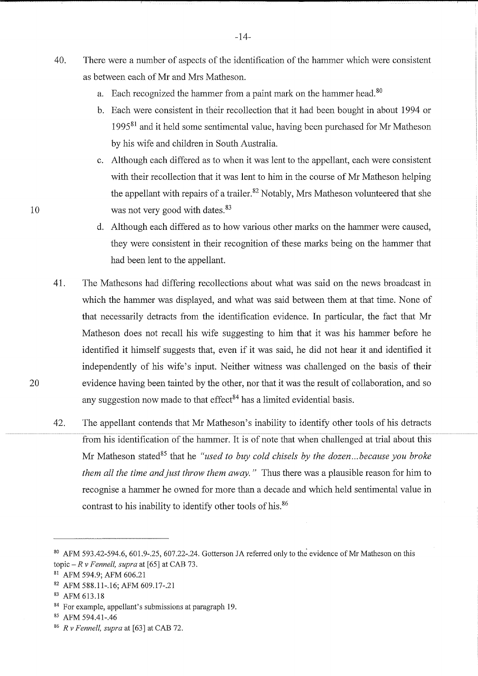- 40. There were a number of aspects of the identification of the hammer which were consistent as between each of Mr and Mrs Matheson.
	- a. Each recognized the hammer from a paint mark on the hammer head.<sup>80</sup>
	- b. Each were consistent in their recollection that it had been bought in about 1994 or 199581 and it held some sentimental value, having been purchased for Mr Matheson by his wife and children in South Australia.
	- c. Although each differed as to when it was lent to the appellant, each were consistent with their recollection that it was lent to him in the course of Mr Matheson helping the appellant with repairs of a trailer.<sup>82</sup> Notably, Mrs Matheson volunteered that she was not very good with dates. 83
	- d. Although each differed as to how various other marks on the hammer were caused, they were consistent in their recognition of these marks being on the hammer that had been lent to the appellant.
- 41. The Mathesons had differing recollections about what was said on the news broadcast in which the hammer was displayed, and what was said between them at that time. None of that necessarily detracts from the identification evidence. In particular, the fact that Mr Matheson does not recall his wife suggesting to him that it was his hammer before he identified it himself suggests that, even if it was said, he did not hear it and identified it independently of his wife's input. Neither witness was challenged on the basis of their evidence having been tainted by the other, nor that it was the result of collaboration, and so any suggestion now made to that effect<sup>84</sup> has a limited evidential basis.
- 42. The appellant contends that Mr Matheson's inability to identify other tools of his detracts from his identification of the hammer. It is of note that when challenged at trial about this Mr Matheson stated<sup>85</sup> that he *"used to buy cold chisels by the dozen...because you broke them all the time and just throw them away.* " Thus there was a plausible reason for him to recognise a hammer he owned for more than a decade and which held sentimental value in contrast to his inability to identify other tools of his. 86

20

-14-

 $80$  AFM 593.42-594.6, 601.9-.25, 607.22-.24. Gotterson JA referred only to the evidence of Mr Matheson on this topic  $-Rv$  *Fennell, supra* at [65] at CAB 73.

<sup>81</sup> AFM 594.9; AFM 606.21

<sup>82</sup> AFM 588.11-.16; AFM 609.17-.21

<sup>83</sup> AFM 613.18

<sup>84</sup> For example, appellant's submissions at paragraph 19.

<sup>85</sup> AFM 594.41-.46

<sup>86</sup> *R v Fennell, supra* at [63] at CAB 72.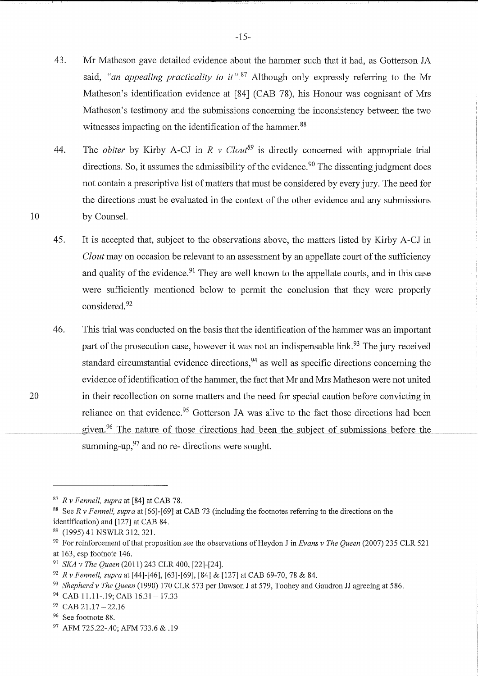- 43. Mr Matheson gave detailed evidence about the hammer such that it had, as Gotterson JA said, *"an appealing practicality to it*".<sup>87</sup> Although only expressly referring to the Mr Matheson's identification evidence at [84] (CAB 78), his Honour was cognisant of Mrs Matheson's testimony and the submissions concerning the inconsistency between the two witnesses impacting on the identification of the hammer.<sup>88</sup>
- 44. The *obiter* by Kirby A-CJ in  $R \vee Clout^{89}$  is directly concerned with appropriate trial directions. So, it assumes the admissibility of the evidence.<sup>90</sup> The dissenting judgment does not contain a prescriptive list of matters that must be considered by every jury. The need for the directions must be evaluated in the context of the other evidence and any submissions by Counsel.
- 45. It is accepted that, subject to the observations above, the matters listed by Kirby A-CJ in *Clout* may on occasion be relevant to an assessment by an appellate court of the sufficiency and quality of the evidence.<sup>91</sup> They are well known to the appellate courts, and in this case were sufficiently mentioned below to permit the conclusion that they were properly considered. 92
- 46. This trial was conducted on the basis that the identification of the hammer was an important part of the prosecution case, however it was not an indispensable link.<sup>93</sup> The jury received standard circumstantial evidence directions,<sup>94</sup> as well as specific directions concerning the evidence of identification of the hammer, the fact that Mr and Mrs Matheson were not united in their recollection on some matters and the need for special caution before convicting in reliance on that evidence.<sup>95</sup> Gotterson JA was alive to the fact those directions had been given. <sup>96</sup> The nature of those directions had been the subject of submissions before the summing-up,  $97$  and no re- directions were sought.

<sup>&</sup>lt;sup>87</sup> R v Fennell, supra at [84] at CAB 78.<br><sup>88</sup> See R v Fennell, supra at [66]-[69] at CAB 73 (including the footnotes referring to the directions on the identification) and [127] at CAB 84.<br><sup>89</sup> (1995) 41 NSWLR 312, 321.

<sup>9</sup> ° For reinforcement of that proposition see the observations of Reydon Jin *Evans v The Queen* (2007) 235 CLR 521

at 163, esp footnote 146. 91 *SKA v The Queen* (2011) 243 CLR 400, [22]-[24].

<sup>&</sup>lt;sup>92</sup> R v Fennell, supra at [44]-[46], [63]-[69], [84] & [127] at CAB 69-70, 78 & 84.<br><sup>93</sup> Shepherd v The Queen (1990) 170 CLR 573 per Dawson J at 579, Toohey and Gaudron JJ agreeing at 586.<br><sup>94</sup> CAB 11.11-.19; CAB 16.31 –

 $95$  CAB 21.17 - 22.16

<sup>&</sup>lt;sup>96</sup> See footnote 88.

<sup>97</sup> AFM 725.22-.40; AFM 733.6 & .19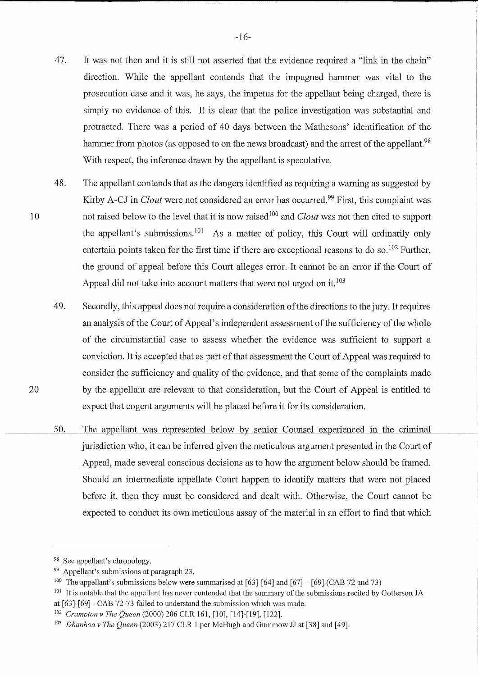- 47. It was not then and it is still not asserted that the evidence required a "link in the chain" direction. While the appellant contends that the impugned hammer was vital to the prosecution case and it was, he says, the impetus for the appellant being charged, there is simply no evidence of this. It is clear that the police investigation was substantial and protracted. There was a period of 40 days between the Mathesons' identification of the hammer from photos (as opposed to on the news broadcast) and the arrest of the appellant.<sup>98</sup> With respect, the inference drawn by the appellant is speculative.
- 48. The appellant contends that as the dangers identified as requiring a warning as suggested by Kirby A-CJ in *Clout* were not considered an error has occurred.<sup>99</sup> First, this complaint was not raised below to the level that it is now raised<sup>100</sup> and *Clout* was not then cited to support the appellant's submissions.<sup>101</sup> As a matter of policy, this Court will ordinarily only entertain points taken for the first time if there are exceptional reasons to do so.<sup>102</sup> Further, the ground of appeal before this Court alleges error. It cannot be an error if the Court of Appeal did not take into account matters that were not urged on it.<sup>103</sup>
- 49. Secondly, this appeal does not require a consideration of the directions to the jury. It requires an analysis of the Court of Appeal's independent assessment of the sufficiency of the whole of the circumstantial case to assess whether the evidence was sufficient to support a conviction. It is accepted that as part of that assessment the Court of Appeal was required to consider the sufficiency and quality of the evidence, and that some of the complaints made by the appellant are relevant to that consideration, but the Court of Appeal is entitled to expect that cogent arguments will be placed before it for its consideration.
- 50. The appellant was represented below by senior Counsel experienced in the criminal jurisdiction who, it can be inferred given the meticulous argument presented in the Court of Appeal, made several conscious decisions as to how the argument below should be framed. Should an intermediate appellate Court happen to identify matters that were not placed before it, then they must be considered and dealt with. Otherwise, the Court cannot be expected to conduct its own meticulous assay of the material in an effort to find that which

<sup>98</sup> See appellant's chronology.

<sup>99</sup> Appellant's submissions at paragraph 23.

<sup>&</sup>lt;sup>100</sup> The appellant's submissions below were summarised at [63]-[64] and [67] – [69] (CAB 72 and 73)

<sup>&</sup>lt;sup>101</sup> It is notable that the appellant has never contended that the summary of the submissions recited by Gotterson JA at [63]-[69] - CAB 72-73 failed to understand the submission which was made.

<sup>102</sup>*Crampton v The Queen* (2000) 206 CLR 161, [10], [14]-[19], [122].

<sup>103</sup>*Dhanhoa v The Queen* (2003) 217 CLR 1 per McHugh and Gummow JJ at [38] and [49].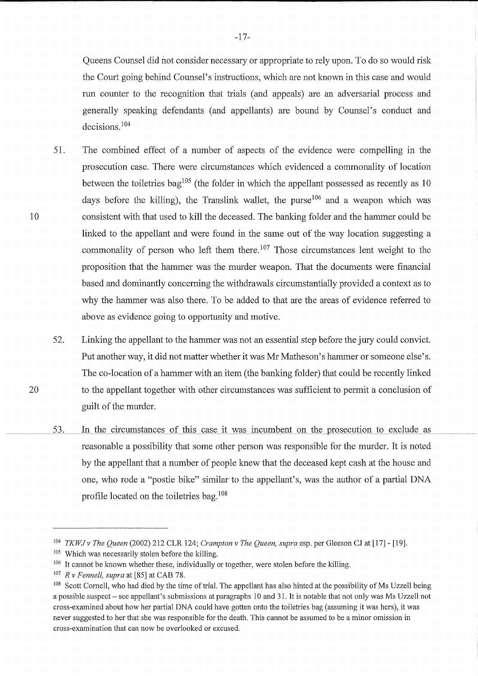Queens Counsel did not consider necessary or appropriate to rely upon. To do so would risk the Court going behind Counsel's instructions, which are not known in this case and would run counter to the recognition that trials (and appeals) are an adversarial process and generally speaking defendants (and appellants) are bound by Counsel's conduct and decisions. <sup>104</sup>

51. The combined effect of a number of aspects of the evidence were compelling in the prosecution case. There were circumstances which evidenced a commonality of location between the toiletries bag<sup>105</sup> (the folder in which the appellant possessed as recently as 10 days before the killing), the Translink wallet, the purse  $106$  and a weapon which was consistent with that used to kill the deceased. The banking folder and the hammer could be linked to the appellant and were found in the same out of the way location suggesting a commonality of person who left them there.<sup>107</sup> Those circumstances lent weight to the proposition that the hammer was the murder weapon. That the documents were financial based and dominantly concerning the withdrawals circumstantially provided a context as to why the hammer was also there. To be added to that are the areas of evidence referred to above as evidence going to opportunity and motive.

52. Linking the appellant to the hammer was not an essential step before the jury could convict. Put another way, it did not matter whether it was Mr Matheson's hammer or someone else's. The co-location of a hammer with an item (the banking folder) that could be recently linked to the appellant together with other circumstances was sufficient to permit a conclusion of guilt of the murder.

53. In the circumstances of this case it was incumbent on the prosecution to exclude as reasonable a possibility that some other person was responsible for the murder. It is noted by the appellant that a number of people knew that the deceased kept cash at the house and one, who rode a "postie bike" similar to the appellant's, was the author of a partial DNA profile located on the toiletries bag. <sup>108</sup>

20

<sup>104</sup>*TKWJ v The Queen* (2002) 212 CLR 124; *Crampton v The Queen, supra* esp. per Gleeson CJ at [17] - [19].

<sup>105</sup> Which was necessarily stolen before the killing.

 $106$  It cannot be known whether these, individually or together, were stolen before the killing.

<sup>107</sup>*R v Fennell, supra* at [85] at CAB 78.

<sup>108</sup> Scott Cornell, who had died by the time of trial. The appellant has also hinted at the possibility of Ms Uzzell being a possible suspect - see appellant's submissions at paragraphs 10 and 31. It is notable that not only was Ms Uzzell not cross-examined about how her partial DNA could have gotten onto the toiletries bag (assuming it was hers), it was never suggested to her that she was responsible for the death. This cannot be assumed to be a minor omission in cross-examination that can now be overlooked or excused.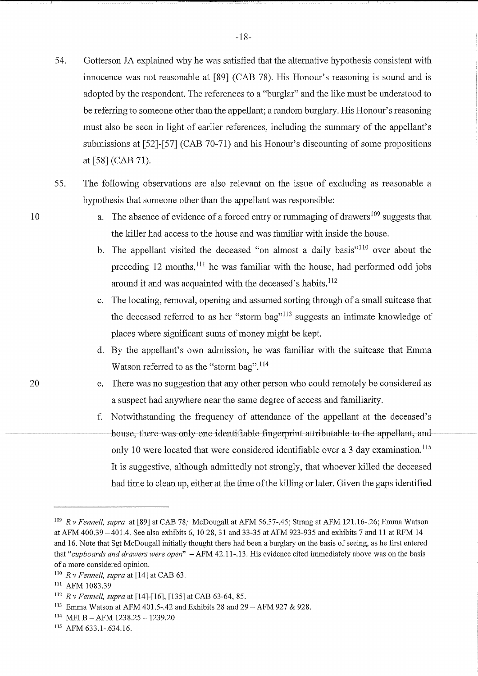- 54. Gotterson JA explained why he was satisfied that the alternative hypothesis consistent with innocence was not reasonable at [89] (CAB 78). His Honour's reasoning is sound and is adopted by the respondent. The references to a "burglar" and the like must be understood to be referring to someone other than the appellant; a random burglary. His Honour's reasoning must also be seen in light of earlier references, including the summary of the appellant's submissions at [52]-[57] (CAB 70-71) and his Honour's discounting of some propositions at [58] (CAB 71).
- 55. The following observations are also relevant on the issue of excluding as reasonable a hypothesis that someone other than the appellant was responsible:
	- a. The absence of evidence of a forced entry or rummaging of drawers  $109$  suggests that the killer had access to the house and was familiar with inside the house.
	- b. The appellant visited the deceased "on almost a daily basis"<sup> $110$ </sup> over about the preceding  $12$  months,<sup>111</sup> he was familiar with the house, had performed odd jobs around it and was acquainted with the deceased's habits.<sup>112</sup>
	- c. The locating, removal, opening and assumed sorting through of a small suitcase that the deceased referred to as her "storm bag"<sup> $113$ </sup> suggests an intimate knowledge of places where significant sums of money might be kept.
	- d. By the appellant's own admission, he was familiar with the suitcase that Emma Watson referred to as the "storm bag".<sup>114</sup>
	- e. There was no suggestion that any other person who could remotely be considered as a suspect had anywhere near the same degree of access and familiarity.
	- f. Notwithstanding the frequency of attendance of the appellant at the deceased's house, there was only one identifiable fingerprint attributable to the appellant, and only 10 were located that were considered identifiable over a 3 day examination.<sup>115</sup> It is suggestive, although admittedly not strongly, that whoever killed the deceased had time to clean up, either at the time of the killing or later. Given the gaps identified

<sup>109</sup>*R* v *Fennell, supra* at [89] at CAB 78; McDougall at AFM 56.37-.45; Strang at AFM 121.16-.26; Emma Watson at AFM 400.39 -401.4. See also exhibits 6, 10 28, 31 and 33-35 at AFM 923-935 and exhibits 7 and 11 at RFM 14 and 16. Note that Sgt McDougall initially thought there had been a burglary on the basis of seeing, as he first entered that *"cupboards and drawers were open"* -AFM 42.11-.13. His evidence cited immediately above was on the basis of a more considered opinion.

<sup>110</sup>*R v Fennell, supra* at [14] at CAB 63.

<sup>111</sup> AFM 1083.39

<sup>112</sup>*R v Fennell, supra* at [14]-[16], [135] at CAB 63-64, 85.

<sup>&</sup>lt;sup>113</sup> Emma Watson at AFM 401.5-.42 and Exhibits 28 and 29 - AFM 927 & 928.

<sup>114</sup> MFI B-AFM 1238.25-1239.20

<sup>115</sup> AFM 633.1-.634.16.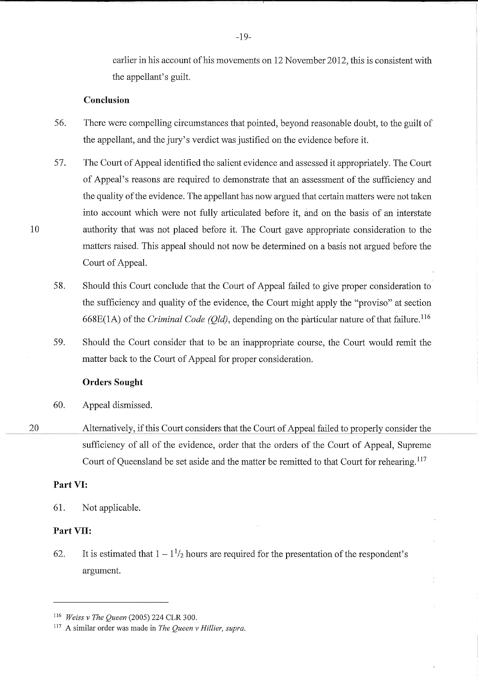earlier in his account of his movements on 12 November 2012, this is consistent with the appellant's guilt.

#### **Conclusion**

- 56. There were compelling circumstances that pointed, beyond reasonable doubt, to the guilt of the appellant, and the jury's verdict was justified on the evidence before it.
- 57. The Court of Appeal identified the salient evidence and assessed it appropriately. The Court of Appeal's reasons are required to demonstrate that an assessment of the sufficiency and the quality of the evidence. The appellant has now argued that certain matters were not taken into account which were not fully articulated before it, and on the basis of an interstate authority that was not placed before it. The Court gave appropriate consideration to the matters raised. This appeal should not now be determined on a basis not argued before the Court of Appeal.
- 58. Should this Court conclude that the Court of Appeal failed to give proper consideration to the sufficiency and quality of the evidence, the Court might apply the "proviso" at section 668E(1A) of the *Criminal Code (Qld),* depending on the particular nature of that failure. <sup>116</sup>
- 59. Should the Court consider that to be an inappropriate course, the Court would remit the matter back to the Court of Appeal for proper consideration.

#### **Orders Sought**

- 60. Appeal dismissed.
- 20 Alternatively, if this Court considers that the Court of Appeal failed to properly consider the sufficiency of all of the evidence, order that the orders of the Court of Appeal, Supreme Court of Queensland be set aside and the matter be remitted to that Court for rehearing.<sup>117</sup>

#### **Part VI:**

10

61. Not applicable.

# **Part VII:**

62. It is estimated that  $1 - 1<sup>1</sup>/2$  hours are required for the presentation of the respondent's argument.

<sup>116</sup>*Weiss v The Queen* (2005) 224 CLR 300.

<sup>117</sup> A similar order was made in *The Queen v Hillier, supra.*